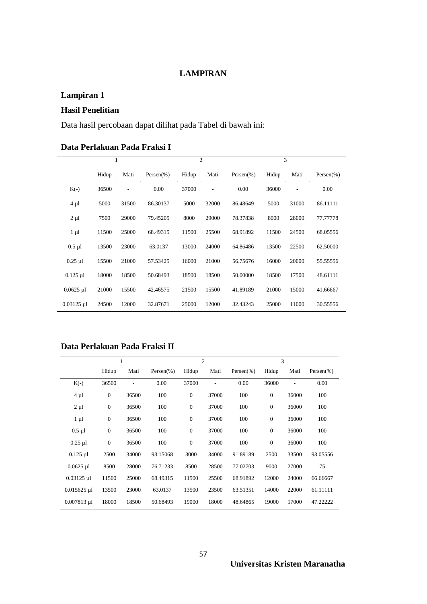#### **LAMPIRAN**

## **Lampiran 1**

## **Hasil Penelitian**

Data hasil percobaan dapat dilihat pada Tabel di bawah ini:

#### **Data Perlakuan Pada Fraksi I**

|              |       | 1                        |                |       | $\overline{c}$ |                |       | 3     |                |
|--------------|-------|--------------------------|----------------|-------|----------------|----------------|-------|-------|----------------|
|              | Hidup | Mati                     | Persen $(\% )$ | Hidup | Mati           | Persen $(\% )$ | Hidup | Mati  | Persen $(\% )$ |
| $K(-)$       | 36500 | $\overline{\phantom{m}}$ | 0.00           | 37000 | $\overline{a}$ | 0.00           | 36000 | ٠     | 0.00           |
| $4 \mu l$    | 5000  | 31500                    | 86.30137       | 5000  | 32000          | 86.48649       | 5000  | 31000 | 86.11111       |
| $2 \mu l$    | 7500  | 29000                    | 79.45205       | 8000  | 29000          | 78.37838       | 8000  | 28000 | 77.77778       |
| $1 \mu l$    | 11500 | 25000                    | 68.49315       | 11500 | 25500          | 68.91892       | 11500 | 24500 | 68.05556       |
| $0.5$ µl     | 13500 | 23000                    | 63.0137        | 13000 | 24000          | 64.86486       | 13500 | 22500 | 62.50000       |
| $0.25$ µl    | 15500 | 21000                    | 57.53425       | 16000 | 21000          | 56.75676       | 16000 | 20000 | 55.55556       |
| $0.125$ µl   | 18000 | 18500                    | 50.68493       | 18500 | 18500          | 50.00000       | 18500 | 17500 | 48.61111       |
| $0.0625$ µl  | 21000 | 15500                    | 42.46575       | 21500 | 15500          | 41.89189       | 21000 | 15000 | 41.66667       |
| $0.03125$ µl | 24500 | 12000                    | 32.87671       | 25000 | 12000          | 32.43243       | 25000 | 11000 | 30.55556       |

#### **Data Perlakuan Pada Fraksi II**

| 1             |                  |       |                | $\overline{2}$   |       |                | 3                |       |                |
|---------------|------------------|-------|----------------|------------------|-------|----------------|------------------|-------|----------------|
|               | Hidup            | Mati  | Persen $(\% )$ | Hidup            | Mati  | Persen $(\% )$ | Hidup            | Mati  | Persen $(\% )$ |
| $K(-)$        | 36500            |       | 0.00           | 37000            |       | 0.00           | 36000            |       | 0.00           |
| 4 µl          | $\boldsymbol{0}$ | 36500 | 100            | $\mathbf{0}$     | 37000 | 100            | $\mathbf{0}$     | 36000 | 100            |
| $2 \mu l$     | $\boldsymbol{0}$ | 36500 | 100            | $\boldsymbol{0}$ | 37000 | 100            | $\mathbf{0}$     | 36000 | 100            |
| $1 \mu l$     | $\boldsymbol{0}$ | 36500 | 100            | $\boldsymbol{0}$ | 37000 | 100            | $\boldsymbol{0}$ | 36000 | 100            |
| $0.5$ µl      | $\boldsymbol{0}$ | 36500 | 100            | $\mathbf{0}$     | 37000 | 100            | $\mathbf{0}$     | 36000 | 100            |
| $0.25$ µl     | $\boldsymbol{0}$ | 36500 | 100            | $\theta$         | 37000 | 100            | $\overline{0}$   | 36000 | 100            |
| $0.125$ µl    | 2500             | 34000 | 93.15068       | 3000             | 34000 | 91.89189       | 2500             | 33500 | 93.05556       |
| $0.0625$ µl   | 8500             | 28000 | 76.71233       | 8500             | 28500 | 77.02703       | 9000             | 27000 | 75             |
| $0.03125$ µl  | 11500            | 25000 | 68.49315       | 11500            | 25500 | 68.91892       | 12000            | 24000 | 66.66667       |
| $0.015625$ µl | 13500            | 23000 | 63.0137        | 13500            | 23500 | 63.51351       | 14000            | 22000 | 61.11111       |
| $0.007813$ µl | 18000            | 18500 | 50.68493       | 19000            | 18000 | 48.64865       | 19000            | 17000 | 47.22222       |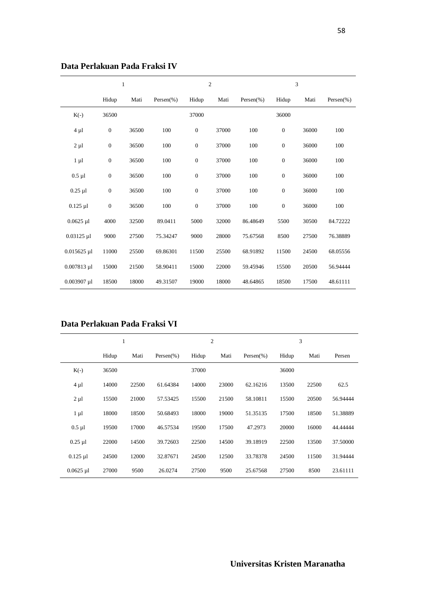|               | $\mathbf{1}$     |       |                |                  | $\overline{c}$ |                |                  | $\overline{3}$ |                |
|---------------|------------------|-------|----------------|------------------|----------------|----------------|------------------|----------------|----------------|
|               | Hidup            | Mati  | Persen $(\% )$ | Hidup            | Mati           | Persen $(\% )$ | Hidup            | Mati           | Persen $(\% )$ |
| $K(-)$        | 36500            |       |                | 37000            |                |                | 36000            |                |                |
| $4 \mu l$     | $\boldsymbol{0}$ | 36500 | 100            | $\mathbf{0}$     | 37000          | 100            | $\mathbf{0}$     | 36000          | 100            |
| $2 \mu l$     | $\boldsymbol{0}$ | 36500 | 100            | $\boldsymbol{0}$ | 37000          | 100            | $\boldsymbol{0}$ | 36000          | 100            |
| $1 \mu l$     | $\boldsymbol{0}$ | 36500 | 100            | $\boldsymbol{0}$ | 37000          | 100            | $\boldsymbol{0}$ | 36000          | 100            |
| $0.5$ $\mu$ l | $\boldsymbol{0}$ | 36500 | 100            | $\mathbf{0}$     | 37000          | 100            | $\mathbf{0}$     | 36000          | 100            |
| $0.25$ µl     | $\boldsymbol{0}$ | 36500 | 100            | $\boldsymbol{0}$ | 37000          | 100            | $\mathbf{0}$     | 36000          | 100            |
| $0.125$ µl    | $\boldsymbol{0}$ | 36500 | 100            | $\boldsymbol{0}$ | 37000          | 100            | $\boldsymbol{0}$ | 36000          | 100            |
| $0.0625$ µl   | 4000             | 32500 | 89.0411        | 5000             | 32000          | 86.48649       | 5500             | 30500          | 84.72222       |
| $0.03125$ µl  | 9000             | 27500 | 75.34247       | 9000             | 28000          | 75.67568       | 8500             | 27500          | 76.38889       |
| $0.015625$ µl | 11000            | 25500 | 69.86301       | 11500            | 25500          | 68.91892       | 11500            | 24500          | 68.05556       |
| $0.007813$ µl | 15000            | 21500 | 58.90411       | 15000            | 22000          | 59.45946       | 15500            | 20500          | 56.94444       |
| $0.003907$ µl | 18500            | 18000 | 49.31507       | 19000            | 18000          | 48.64865       | 18500            | 17500          | 48.61111       |

#### **Data Perlakuan Pada Fraksi IV**

### **Data Perlakuan Pada Fraksi VI**

|             | 1     |       |                | 2     |       |                | 3     |       |          |
|-------------|-------|-------|----------------|-------|-------|----------------|-------|-------|----------|
|             | Hidup | Mati  | Persen $(\% )$ | Hidup | Mati  | Persen $(\% )$ | Hidup | Mati  | Persen   |
| $K(-)$      | 36500 |       |                | 37000 |       |                | 36000 |       |          |
| $4 \mu l$   | 14000 | 22500 | 61.64384       | 14000 | 23000 | 62.16216       | 13500 | 22500 | 62.5     |
| $2 \mu l$   | 15500 | 21000 | 57.53425       | 15500 | 21500 | 58.10811       | 15500 | 20500 | 56.94444 |
| $1 \mu l$   | 18000 | 18500 | 50.68493       | 18000 | 19000 | 51.35135       | 17500 | 18500 | 51.38889 |
| $0.5$ µl    | 19500 | 17000 | 46.57534       | 19500 | 17500 | 47.2973        | 20000 | 16000 | 44.44444 |
| $0.25$ µl   | 22000 | 14500 | 39.72603       | 22500 | 14500 | 39.18919       | 22500 | 13500 | 37.50000 |
| $0.125$ µl  | 24500 | 12000 | 32.87671       | 24500 | 12500 | 33.78378       | 24500 | 11500 | 31.94444 |
| $0.0625$ µl | 27000 | 9500  | 26.0274        | 27500 | 9500  | 25.67568       | 27500 | 8500  | 23.61111 |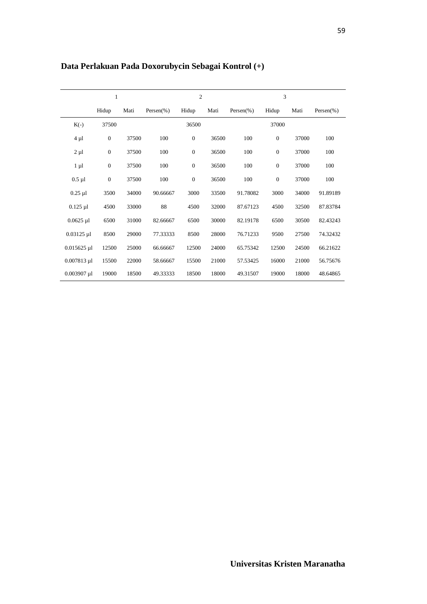|               | $\mathbf{1}$     |       |                | $\overline{2}$   |       |                | 3              |       |                |
|---------------|------------------|-------|----------------|------------------|-------|----------------|----------------|-------|----------------|
|               | Hidup            | Mati  | Persen $(\% )$ | Hidup            | Mati  | Persen $(\% )$ | Hidup          | Mati  | Persen $(\% )$ |
| $K(-)$        | 37500            |       |                | 36500            |       |                | 37000          |       |                |
| $4 \mu l$     | $\mathbf{0}$     | 37500 | 100            | $\boldsymbol{0}$ | 36500 | 100            | $\mathbf{0}$   | 37000 | 100            |
| $2 \mu l$     | $\mathbf{0}$     | 37500 | 100            | $\boldsymbol{0}$ | 36500 | 100            | $\overline{0}$ | 37000 | 100            |
| $1 \mu l$     | $\mathbf{0}$     | 37500 | 100            | $\mathbf{0}$     | 36500 | 100            | $\theta$       | 37000 | 100            |
| $0.5 \mu l$   | $\boldsymbol{0}$ | 37500 | 100            | $\boldsymbol{0}$ | 36500 | 100            | $\mathbf{0}$   | 37000 | 100            |
| $0.25$ µl     | 3500             | 34000 | 90.66667       | 3000             | 33500 | 91.78082       | 3000           | 34000 | 91.89189       |
| $0.125$ µl    | 4500             | 33000 | 88             | 4500             | 32000 | 87.67123       | 4500           | 32500 | 87.83784       |
| $0.0625$ µl   | 6500             | 31000 | 82.66667       | 6500             | 30000 | 82.19178       | 6500           | 30500 | 82.43243       |
| $0.03125$ µl  | 8500             | 29000 | 77.33333       | 8500             | 28000 | 76.71233       | 9500           | 27500 | 74.32432       |
| $0.015625$ µl | 12500            | 25000 | 66.66667       | 12500            | 24000 | 65.75342       | 12500          | 24500 | 66.21622       |
| $0.007813$ µl | 15500            | 22000 | 58.66667       | 15500            | 21000 | 57.53425       | 16000          | 21000 | 56.75676       |
| $0.003907$ µl | 19000            | 18500 | 49.33333       | 18500            | 18000 | 49.31507       | 19000          | 18000 | 48.64865       |

## **Data Perlakuan Pada Doxorubycin Sebagai Kontrol (+)**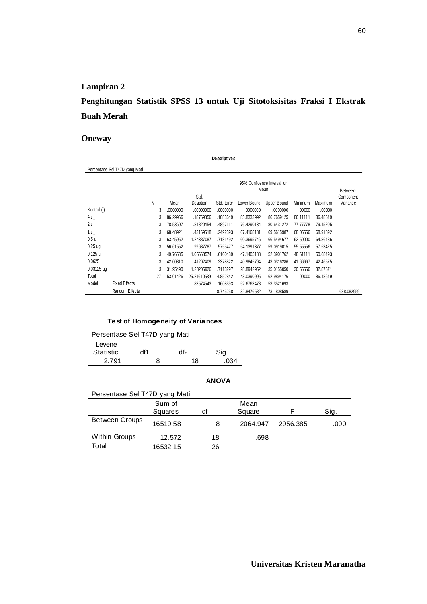## **Penghitungan Statistik SPSS 13 untuk Uji Sitotoksisitas Fraksi I Ekstrak Buah Merah**

**Descriptives**

#### **Oneway**

|                  | Persentase Sel T47D yang Mati |    |          |             |            |             |                                     |          |          |            |
|------------------|-------------------------------|----|----------|-------------|------------|-------------|-------------------------------------|----------|----------|------------|
|                  |                               |    |          |             |            |             | 95% Confidence Interval for<br>Mean |          |          | Between-   |
|                  |                               |    |          | Std.        |            |             |                                     |          |          | Component  |
|                  |                               | Ν  | Mean     | Deviation   | Std. Error | Lower Bound | Upper Bound                         | Minimum  | Maximum  | Variance   |
| Kontrol (-)      |                               | 3  | .0000000 | .00000000   | .0000000   | .0000000    | .0000000                            | .00000   | .00000   |            |
| 4ι               |                               | 3  | 86.29966 | .18769356   | .1083649   | 85.8333992  | 86.7659125                          | 86.11111 | 86.48649 |            |
| 2 <sub>L</sub>   |                               | 3  | 78.53607 | .84820454   | .4897111   | 76.4290134  | 80.6431272                          | 77.77778 | 79.45205 |            |
| 1ι               |                               | 3  | 68.48921 | .43169518   | .2492393   | 67.4168181  | 69.5615987                          | 68.05556 | 68.91892 |            |
| 0.5 <sub>u</sub> |                               | 3  | 63.45952 | 1.24387087  | .7181492   | 60.3695746  | 66.5494677                          | 62.50000 | 64.86486 |            |
| $0.25$ ug        |                               | 3  | 56.61552 | .99687787   | .5755477   | 54.1391377  | 59.0919015                          | 55.55556 | 57.53425 |            |
| 0.125u           |                               | 3  | 49.76535 | 1.05663574  | .6100489   | 47.1405188  | 52.3901762                          | 48.61111 | 50.68493 |            |
| 0.0625           |                               | 3  | 42.00810 | .41202409   | .2378822   | 40.9845794  | 43.0316286                          | 41.66667 | 42.46575 |            |
| $0.03125$ uq     |                               | 3  | 31.95490 | 1.23205926  | .7113297   | 28.8942952  | 35.0155050                          | 30.55556 | 32.87671 |            |
| Total            |                               | 27 | 53.01426 | 25.21610539 | 4.852842   | 43.0390995  | 62.9894176                          | .00000   | 86.48649 |            |
| Model            | Fixed Effects                 |    |          | .83574543   | .1608393   | 52.6763478  | 53.3521693                          |          |          |            |
|                  | Random Effects                |    |          |             | 8.745258   | 32.8476582  | 73.1808589                          |          |          | 688.082959 |

#### **Test of Homogeneity of Variances**

| Persentase Sel T47D yang Mati |  |     |    |  |  |  |  |  |  |
|-------------------------------|--|-----|----|--|--|--|--|--|--|
| Levene                        |  |     |    |  |  |  |  |  |  |
| <b>Statistic</b>              |  | ィドク |    |  |  |  |  |  |  |
| 2.791                         |  | x   | 18 |  |  |  |  |  |  |

| Persentase Sel T47D yang Mati |          |    |          |          |      |  |  |  |  |  |  |
|-------------------------------|----------|----|----------|----------|------|--|--|--|--|--|--|
|                               | Sum of   |    | Mean     |          |      |  |  |  |  |  |  |
|                               | Squares  | df | Square   |          | Sig. |  |  |  |  |  |  |
| <b>Between Groups</b>         | 16519.58 | 8  | 2064.947 | 2956.385 | .000 |  |  |  |  |  |  |
| <b>Within Groups</b>          | 12.572   | 18 | .698     |          |      |  |  |  |  |  |  |
| Total                         | 16532.15 | 26 |          |          |      |  |  |  |  |  |  |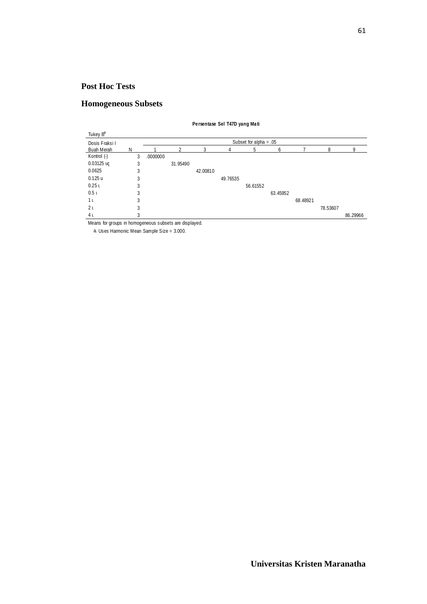## **Homogeneous Subsets**

| Tukey B <sup>a</sup> |   |          |                          |          |          |          |          |          |          |          |  |  |
|----------------------|---|----------|--------------------------|----------|----------|----------|----------|----------|----------|----------|--|--|
| Dosis Fraksil        |   |          | Subset for alpha = $.05$ |          |          |          |          |          |          |          |  |  |
| Buah Merah           | N |          | 2                        | 3        |          | 5        | 6        |          | 8        |          |  |  |
| Kontrol (-)          | 3 | .0000000 |                          |          |          |          |          |          |          |          |  |  |
| 0.03125 uc           | 3 |          | 31.95490                 |          |          |          |          |          |          |          |  |  |
| 0.0625               | 3 |          |                          | 42.00810 |          |          |          |          |          |          |  |  |
| 0.125u               | 3 |          |                          |          | 49.76535 |          |          |          |          |          |  |  |
| 0.25L                | 3 |          |                          |          |          | 56.61552 |          |          |          |          |  |  |
| 0.5 <sub>l</sub>     | 3 |          |                          |          |          |          | 63.45952 |          |          |          |  |  |
| 1 <sub>l</sub>       | 3 |          |                          |          |          |          |          | 68.48921 |          |          |  |  |
| 2 <sub>l</sub>       | 3 |          |                          |          |          |          |          |          | 78.53607 |          |  |  |
| 4ι                   | 3 |          |                          |          |          |          |          |          |          | 86.29966 |  |  |

**Persentase Sel T47D yang Mati**

Means for groups in homogeneous subsets are displayed.

a. Uses Harmonic Mean Sample Size = 3.000.

61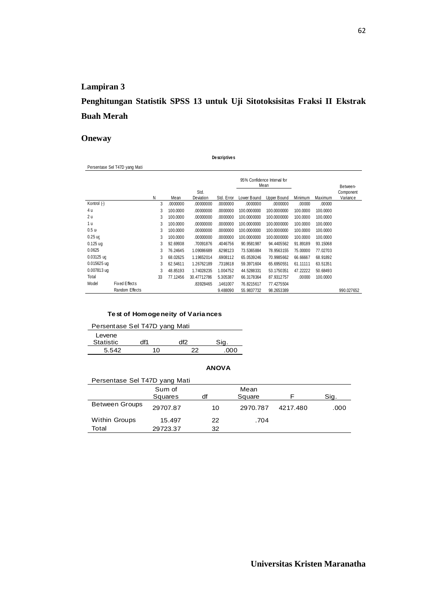## **Penghitungan Statistik SPSS 13 untuk Uji Sitotoksisitas Fraksi II Ekstrak Buah Merah**

**Descriptives**

#### **Oneway**

|                  | Persentase Sel T47D yang Mati |    |          |             |            |             |                                     |          |          |            |
|------------------|-------------------------------|----|----------|-------------|------------|-------------|-------------------------------------|----------|----------|------------|
|                  |                               |    |          |             |            |             | 95% Confidence Interval for<br>Mean |          |          | Between-   |
|                  |                               |    |          | Std.        |            |             |                                     |          |          | Component  |
|                  |                               | Ν  | Mean     | Deviation   | Std. Error | Lower Bound | Upper Bound                         | Minimum  | Maximum  | Variance   |
| Kontrol (-)      |                               | 3  | .0000000 | .00000000   | .0000000   | .0000000    | .0000000                            | .00000   | .00000   |            |
| 4 u              |                               | 3  | 100.0000 | .00000000   | .0000000   | 100.0000000 | 100.0000000                         | 100.0000 | 100.0000 |            |
| 2 u              |                               | 3  | 100.0000 | .00000000   | .0000000   | 100.0000000 | 100.0000000                         | 100.0000 | 100.0000 |            |
| 1 u              |                               | 3  | 100.0000 | .00000000   | .0000000   | 100.0000000 | 100.0000000                         | 100.0000 | 100.0000 |            |
| 0.5 <sub>u</sub> |                               | 3  | 100.0000 | .00000000   | .0000000   | 100.0000000 | 100.0000000                         | 100.0000 | 100.0000 |            |
| $0.25$ ug        |                               | 3  | 100.0000 | .00000000   | .0000000   | 100.0000000 | 100.0000000                         | 100.0000 | 100.0000 |            |
| $0.125$ uq       |                               | 3  | 92.69938 | .70091876   | .4046756   | 90.9581987  | 94.4405562                          | 91.89189 | 93.15068 |            |
| 0.0625           |                               | 3  | 76.24645 | 1.09086689  | .6298123   | 73.5365884  | 78.9563155                          | 75.00000 | 77.02703 |            |
| 0.03125 uc       |                               | 3  | 68.02625 | 1.19652014  | .6908112   | 65.0539246  | 70.9985662                          | 66.66667 | 68.91892 |            |
| $0.015625$ uq    |                               | 3  | 62.54611 | 1.26762189  | .7318618   | 59.3971604  | 65.6950551                          | 61.11111 | 63.51351 |            |
| 0.007813 ug      |                               | 3  | 48.85193 | 1.74028235  | 1.004752   | 44.5288331  | 53.1750351                          | 47.22222 | 50.68493 |            |
| Total            |                               | 33 | 77.12456 | 30.47712786 | 5.305387   | 66.3178364  | 87.9312757                          | .00000   | 100.0000 |            |
| Model            | Fixed Effects                 |    |          | .83928465   | .1461007   | 76.8215617  | 77.4275504                          |          |          |            |
|                  | Random Effects                |    |          |             | 9.488090   | 55.9837732  | 98.2653389                          |          |          | 990.027652 |

#### **Test of Homogeneity of Variances**

| Persentase Sel T47D yang Mati |     |     |      |  |  |  |  |  |  |
|-------------------------------|-----|-----|------|--|--|--|--|--|--|
| Levene                        |     |     |      |  |  |  |  |  |  |
| Statistic                     | df1 | df2 |      |  |  |  |  |  |  |
| 5.542                         | 10  | つつ  | .000 |  |  |  |  |  |  |

| Persentase Sel T47D yang Mati |          |    |          |          |      |  |  |  |  |  |
|-------------------------------|----------|----|----------|----------|------|--|--|--|--|--|
|                               | Sum of   |    | Mean     |          |      |  |  |  |  |  |
|                               | Squares  | df | Square   |          | Sig. |  |  |  |  |  |
| <b>Between Groups</b>         | 29707.87 | 10 | 2970.787 | 4217.480 | .000 |  |  |  |  |  |
| <b>Within Groups</b>          | 15.497   | 22 | .704     |          |      |  |  |  |  |  |
| Total                         | 29723.37 | 32 |          |          |      |  |  |  |  |  |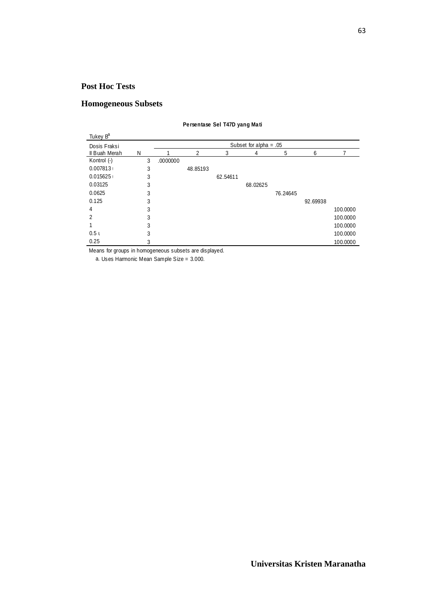## **Homogeneous Subsets**

| Tukey B <sup>a</sup> |   |                          |          |          |          |          |          |          |  |  |
|----------------------|---|--------------------------|----------|----------|----------|----------|----------|----------|--|--|
| Dosis Fraksi         |   | Subset for alpha = $.05$ |          |          |          |          |          |          |  |  |
| Il Buah Merah        | N |                          | 2        | 3        | 4        | 5        | 6        |          |  |  |
| Kontrol (-)          | 3 | .0000000                 |          |          |          |          |          |          |  |  |
| 0.007813             | 3 |                          | 48.85193 |          |          |          |          |          |  |  |
| 0.015625             | 3 |                          |          | 62.54611 |          |          |          |          |  |  |
| 0.03125              | 3 |                          |          |          | 68.02625 |          |          |          |  |  |
| 0.0625               | 3 |                          |          |          |          | 76.24645 |          |          |  |  |
| 0.125                | 3 |                          |          |          |          |          | 92.69938 |          |  |  |
| 4                    | 3 |                          |          |          |          |          |          | 100.0000 |  |  |
| 2                    | 3 |                          |          |          |          |          |          | 100,0000 |  |  |
|                      | 3 |                          |          |          |          |          |          | 100.0000 |  |  |
| 0.5 <sub>1</sub>     | 3 |                          |          |          |          |          |          | 100.0000 |  |  |
| 0.25                 |   |                          |          |          |          |          |          | 100.0000 |  |  |

**Persentase Sel T47D yang Mati**

Means for groups in homogeneous subsets are displayed.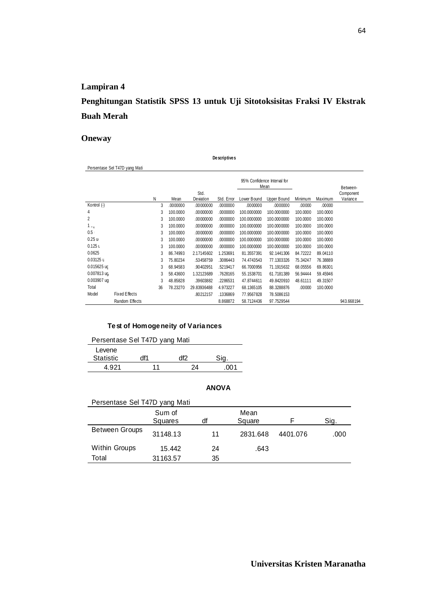**Penghitungan Statistik SPSS 13 untuk Uji Sitotoksisitas Fraksi IV Ekstrak Buah Merah** 

**Descriptives**

#### **Oneway**

|             | Persentase Sel T47D yang Mati |    |          |             |            |             |                                     |          |          |            |
|-------------|-------------------------------|----|----------|-------------|------------|-------------|-------------------------------------|----------|----------|------------|
|             |                               |    |          |             |            |             | 95% Confidence Interval for<br>Mean |          |          | Between-   |
|             |                               |    |          | Std.        |            |             |                                     |          |          | Component  |
|             |                               | Ν  | Mean     | Deviation   | Std. Error | Lower Bound | Upper Bound                         | Minimum  | Maximum  | Variance   |
| Kontrol (-) |                               | 3  | .0000000 | .00000000   | .0000000   | .0000000    | .0000000                            | .00000   | .00000   |            |
| 4           |                               | 3  | 100.0000 | .00000000   | .0000000   | 100.0000000 | 100.0000000                         | 100.0000 | 100.0000 |            |
| 2           |                               | 3  | 100.0000 | .00000000   | .0000000   | 100.0000000 | 100.0000000                         | 100.0000 | 100.0000 |            |
| $1_{\pm z}$ |                               | 3  | 100.0000 | .00000000   | .0000000   | 100.0000000 | 100.0000000                         | 100.0000 | 100.0000 |            |
| 0.5         |                               | 3  | 100.0000 | .00000000   | .0000000   | 100.0000000 | 100.0000000                         | 100.0000 | 100.0000 |            |
| 0.25u       |                               | 3  | 100.0000 | .00000000   | .0000000   | 100.0000000 | 100.0000000                         | 100.0000 | 100.0000 |            |
| $0.125$ L   |                               | 3  | 100.0000 | .00000000   | .0000000   | 100.0000000 | 100.0000000                         | 100.0000 | 100.0000 |            |
| 0.0625      |                               | 3  | 86.74993 | 2.17145602  | 1.253691   | 81.3557391  | 92.1441306                          | 84.72222 | 89.04110 |            |
| 0.03125 L   |                               | 3  | 75.80234 | .53458759   | .3086443   | 74.4743543  | 77.1303326                          | 75.34247 | 76.38889 |            |
| 0.015625 ug |                               | 3  | 68.94583 | .90402951   | .5219417   | 66.7000956  | 71.1915632                          | 68.05556 | 69.86301 |            |
| 0.007813 ug |                               | 3  | 58.43600 | 1.32123689  | .7628165   | 55.1538701  | 61.7181389                          | 56.94444 | 59.45946 |            |
| 0.003907 ug |                               | 3  | 48.85828 | .39603882   | .2286531   | 47.8744611  | 49.8420910                          | 48.61111 | 49.31507 |            |
| Total       |                               | 36 | 78.23270 | 29.83936488 | 4.973227   | 68.1365105  | 88.3288876                          | .00000   | 100.0000 |            |
| Model       | Fixed Effects                 |    |          | .80212157   | .1336869   | 77.9567828  | 78.5086153                          |          |          |            |
|             | Random Effects                |    |          |             | 8.868872   | 58.7124436  | 97.7529544                          |          |          | 943.668194 |

#### **Test of Homogeneity of Variances**

| Persentase Sel T47D yang Mati |     |  |  |  |  |  |  |  |  |
|-------------------------------|-----|--|--|--|--|--|--|--|--|
|                               |     |  |  |  |  |  |  |  |  |
|                               | ብተን |  |  |  |  |  |  |  |  |
| 11                            | 74  |  |  |  |  |  |  |  |  |
|                               |     |  |  |  |  |  |  |  |  |

| Persentase Sel T47D yang Mati |                   |    |                |          |      |  |  |  |  |  |  |
|-------------------------------|-------------------|----|----------------|----------|------|--|--|--|--|--|--|
|                               | Sum of<br>Squares | df | Mean<br>Square |          | Sig. |  |  |  |  |  |  |
| <b>Between Groups</b>         | 31148.13          | 11 | 2831.648       | 4401.076 | .000 |  |  |  |  |  |  |
| <b>Within Groups</b>          | 15.442            | 24 | .643           |          |      |  |  |  |  |  |  |
| Total                         | 31163.57          | 35 |                |          |      |  |  |  |  |  |  |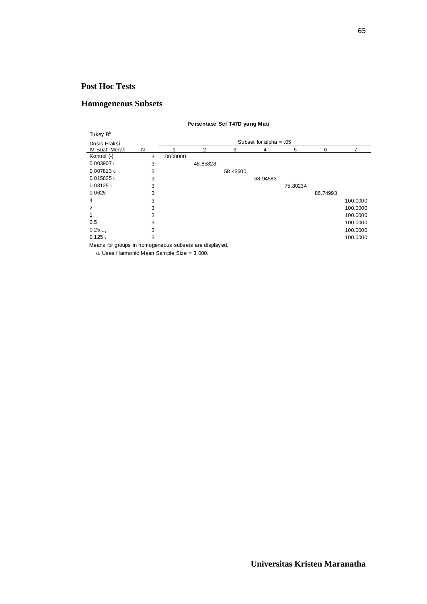## **Homogeneous Subsets**

#### **Persentase Sel T47D yang Mati**

| Tukey B <sup>a</sup> |                          |          |          |          |          |          |          |          |  |  |  |
|----------------------|--------------------------|----------|----------|----------|----------|----------|----------|----------|--|--|--|
| Dosis Fraksi         | Subset for alpha = $.05$ |          |          |          |          |          |          |          |  |  |  |
| IV Buah Merah        | N                        |          | 2        | 3        | 4        | 5        | 6        | 7        |  |  |  |
| Kontrol (-)          | 3                        | .0000000 |          |          |          |          |          |          |  |  |  |
| 0.003907 L           | 3                        |          | 48.85828 |          |          |          |          |          |  |  |  |
| $0.007813$ L         | 3                        |          |          | 58.43600 |          |          |          |          |  |  |  |
| $0.015625$ L         | 3                        |          |          |          | 68.94583 |          |          |          |  |  |  |
| 0.03125              | 3                        |          |          |          |          | 75.80234 |          |          |  |  |  |
| 0.0625               | 3                        |          |          |          |          |          | 86.74993 |          |  |  |  |
| 4                    | 3                        |          |          |          |          |          |          | 100.0000 |  |  |  |
| 2                    | 3                        |          |          |          |          |          |          | 100.0000 |  |  |  |
|                      | 3                        |          |          |          |          |          |          | 100.0000 |  |  |  |
| 0.5                  | 3                        |          |          |          |          |          |          | 100.0000 |  |  |  |
| $0.25$               | 3                        |          |          |          |          |          |          | 100.0000 |  |  |  |
| 0.125                | 3                        |          |          |          |          |          |          | 100.0000 |  |  |  |

Means for groups in homogeneous subsets are displayed.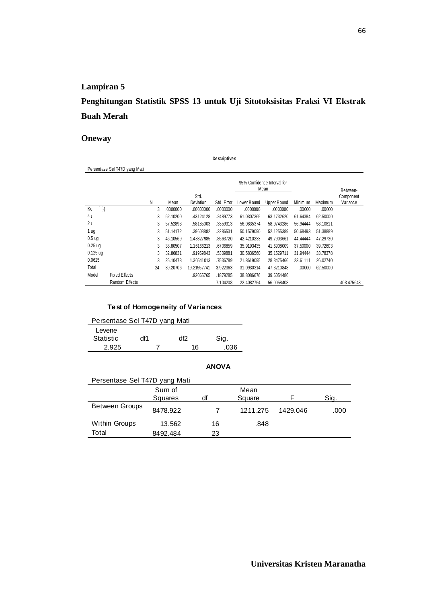## **Penghitungan Statistik SPSS 13 untuk Uji Sitotoksisitas Fraksi VI Ekstrak Buah Merah**

**Descriptives**

#### **Oneway**

|                    | Persentase Sel T47D yang Mati |    |          |             |            |             |                                     |          |          |            |
|--------------------|-------------------------------|----|----------|-------------|------------|-------------|-------------------------------------|----------|----------|------------|
|                    |                               |    |          |             |            |             | 95% Confidence Interval for<br>Mean |          |          | Between-   |
|                    |                               |    |          | Std.        |            |             |                                     |          |          | Component  |
|                    |                               | N  | Mean     | Deviation   | Std. Error | Lower Bound | Upper Bound                         | Minimum  | Maximum  | Variance   |
| ۰.)<br>Κo          |                               | 3  | .0000000 | .00000000   | .0000000   | .0000000    | .0000000                            | .00000   | .00000   |            |
| 4ι                 |                               | 3  | 62.10200 | .43124128   | .2489773   | 61.0307365  | 63.1732620                          | 61.64384 | 62.50000 |            |
| 2 <sub>l</sub>     |                               | 3  | 57.52893 | .58185003   | .3359313   | 56.0835374  | 58.9743286                          | 56.94444 | 58.10811 |            |
| 1 ug               |                               | 3  | 51.14172 | .39603882   | .2286531   | 50.1579090  | 52.1255389                          | 50.68493 | 51.38889 |            |
| 0.5 <sub>uq</sub>  |                               | 3  | 46.10569 | 1.48327985  | .8563720   | 42.4210233  | 49.7903661                          | 44.44444 | 47.29730 |            |
| 0.25 <sub>uq</sub> |                               | 3  | 38.80507 | 1.16166213  | .6706859   | 35.9193435  | 41.6908009                          | 37.50000 | 39.72603 |            |
| $0.125$ ug         |                               | 3  | 32.86831 | .91969843   | .5309881   | 30.5836560  | 35.1529711                          | 31.94444 | 33.78378 |            |
| 0.0625             |                               | 3  | 25.10473 | 1.30541013  | .7536789   | 21.8619095  | 28.3475466                          | 23.61111 | 26.02740 |            |
| Total              |                               | 24 | 39.20706 | 19.21557741 | 3.922363   | 31.0930314  | 47.3210848                          | .00000   | 62.50000 |            |
| Model              | Fixed Effects                 |    |          | .92065765   | .1879285   | 38.8086676  | 39.6054486                          |          |          |            |
|                    | Random Effects                |    |          |             | 7.104208   | 22.4082754  | 56.0058408                          |          |          | 403.475643 |

#### **Test of Homogeneity of Variances**

| Persentase Sel T47D yang Mati |  |    |      |  |  |  |  |  |  |
|-------------------------------|--|----|------|--|--|--|--|--|--|
| Levene<br><b>Statistic</b>    |  |    |      |  |  |  |  |  |  |
| 2.925                         |  | 16 | .036 |  |  |  |  |  |  |

| Persentase Sel T47D yang Mati |          |    |          |          |      |  |  |  |  |  |  |
|-------------------------------|----------|----|----------|----------|------|--|--|--|--|--|--|
|                               | Sum of   |    | Mean     |          |      |  |  |  |  |  |  |
|                               | Squares  | df | Square   |          | Sig. |  |  |  |  |  |  |
| <b>Between Groups</b>         | 8478.922 |    | 1211.275 | 1429.046 | .000 |  |  |  |  |  |  |
| <b>Within Groups</b>          | 13.562   | 16 | .848     |          |      |  |  |  |  |  |  |
| Total                         | 8492.484 | 23 |          |          |      |  |  |  |  |  |  |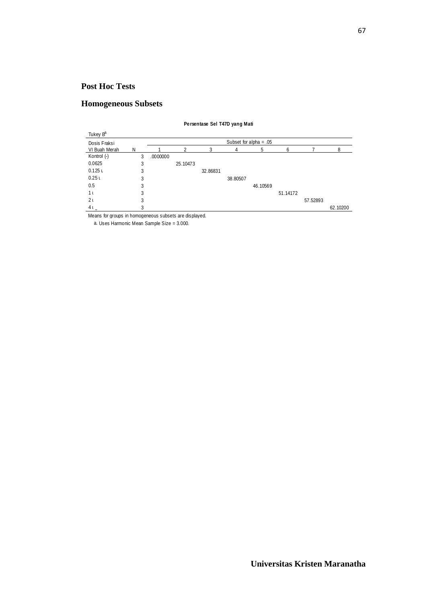## **Homogeneous Subsets**

| Tukey B <sup>a</sup> |   |   |                          |          |          |          |          |          |          |          |  |  |  |
|----------------------|---|---|--------------------------|----------|----------|----------|----------|----------|----------|----------|--|--|--|
| Dosis Fraksi         |   |   | Subset for alpha = $.05$ |          |          |          |          |          |          |          |  |  |  |
| VI Buah Merah        | N |   |                          | 2        | 3        | 4        | 5        | 6        |          | 8        |  |  |  |
| Kontrol (-)          |   | 3 | .0000000                 |          |          |          |          |          |          |          |  |  |  |
| 0.0625               |   | 3 |                          | 25.10473 |          |          |          |          |          |          |  |  |  |
| $0.125$ U            |   | 3 |                          |          | 32.86831 |          |          |          |          |          |  |  |  |
| 0.25L                |   | 3 |                          |          |          | 38.80507 |          |          |          |          |  |  |  |
| 0.5                  |   | 3 |                          |          |          |          | 46.10569 |          |          |          |  |  |  |
| 1 <sub>l</sub>       |   | 3 |                          |          |          |          |          | 51.14172 |          |          |  |  |  |
| 2 <sub>1</sub>       |   | 3 |                          |          |          |          |          |          | 57.52893 |          |  |  |  |
| $4L_a$               |   | 3 |                          |          |          |          |          |          |          | 62.10200 |  |  |  |

**Persentase Sel T47D yang Mati**

Means for groups in homogeneous subsets are displayed.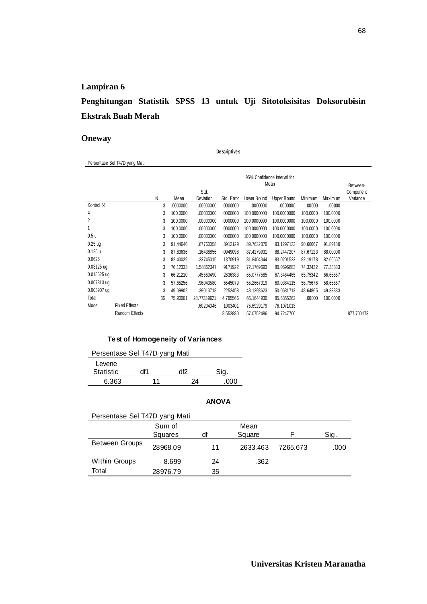## **Penghitungan Statistik SPSS 13 untuk Uji Sitotoksisitas Doksorubisin Ekstrak Buah Merah**

#### **Oneway**

Persentase Sel T47D yang Mati

**Descriptives**

|                  |                |    |          |             |            |             | 95% Confidence Interval for<br>Mean |          |          | Between-   |
|------------------|----------------|----|----------|-------------|------------|-------------|-------------------------------------|----------|----------|------------|
|                  |                |    |          | Std.        |            |             |                                     |          |          | Component  |
|                  |                | Ν  | Mean     | Deviation   | Std. Error | Lower Bound | Upper Bound                         | Minimum  | Maximum  | Variance   |
| Kontrol (-)      |                | 3  | .0000000 | .00000000   | .0000000   | .0000000    | .0000000                            | .00000   | .00000   |            |
| 4                |                | 3  | 100.0000 | .00000000   | .0000000   | 100.0000000 | 100.0000000                         | 100.0000 | 100.0000 |            |
| $\overline{2}$   |                | 3  | 100.0000 | .00000000   | .0000000   | 100.0000000 | 100.0000000                         | 100.0000 | 100.0000 |            |
|                  |                | 3  | 100.0000 | .00000000   | .0000000   | 100.0000000 | 100.0000000                         | 100.0000 | 100.0000 |            |
| 0.5 <sub>L</sub> |                | 3  | 100.0000 | .00000000   | .0000000   | 100.0000000 | 100.0000000                         | 100.0000 | 100.0000 |            |
| $0.25$ ug        |                | 3  | 91.44646 | .67760058   | .3912129   | 89.7632070  | 93.1297133                          | 90.66667 | 91.89189 |            |
| 0.125u           |                | 3  | 87.83636 | .16438856   | .0949098   | 87.4279931  | 88.2447207                          | 87.67123 | 88.00000 |            |
| 0.0625           |                | 3  | 82.43029 | .23745015   | .1370919   | 81.8404344  | 83.0201522                          | 82.19178 | 82.66667 |            |
| $0.03125$ ug     |                | 3  | 76.12333 | 1.58862347  | .9171922   | 72.1769693  | 80.0696883                          | 74.32432 | 77.33333 |            |
| 0.015625 ug      |                | 3  | 66.21210 | .45663490   | .2636383   | 65.0777585  | 67.3464465                          | 65.75342 | 66.66667 |            |
| 0.007813 ug      |                | 3  | 57.65256 | .96043580   | .5545079   | 55.2667019  | 60.0384115                          | 56.75676 | 58.66667 |            |
| $0.003907$ ug    |                | 3  | 49.09902 | .39013718   | .2252458   | 48.1298623  | 50.0681713                          | 48.64865 | 49.33333 |            |
| Total            |                | 36 | 75.90001 | 28.77339621 | 4.795566   | 66.1644930  | 85.6355262                          | .00000   | 100.0000 |            |
| Model            | Fixed Effects  |    |          | .60204046   | .1003401   | 75.6929179  | 76.1071013                          |          |          |            |
|                  | Random Effects |    |          |             | 8.552880   | 57.0752486  | 94.7247706                          |          |          | 877.700173 |

#### **Test of Homogeneity of Variances**

| Persentase Sel T47D yang Mati |     |    |     |  |  |  |  |  |
|-------------------------------|-----|----|-----|--|--|--|--|--|
| Levene                        |     |    |     |  |  |  |  |  |
| <b>Statistic</b>              | df1 |    |     |  |  |  |  |  |
| 6.363                         | 11  | 24 | ገበበ |  |  |  |  |  |

| Persentase Sel T47D yang Mati |          |    |          |          |      |  |  |  |
|-------------------------------|----------|----|----------|----------|------|--|--|--|
|                               | Sum of   |    | Mean     |          |      |  |  |  |
|                               | Squares  | df | Square   |          | Sig. |  |  |  |
| <b>Between Groups</b>         | 28968.09 | 11 | 2633.463 | 7265.673 | .000 |  |  |  |
| <b>Within Groups</b>          | 8.699    | 24 | .362     |          |      |  |  |  |
| Total                         | 28976.79 | 35 |          |          |      |  |  |  |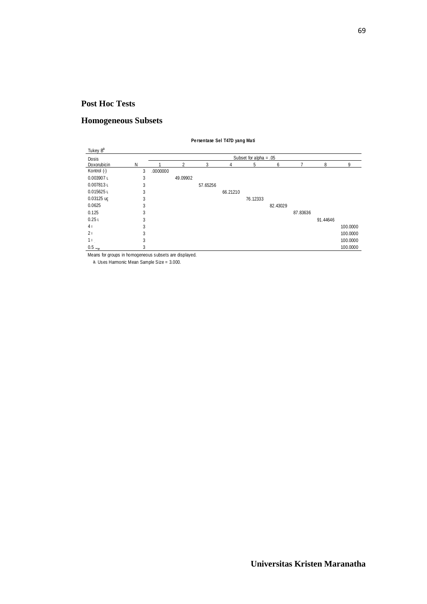#### **Homogeneous Subsets**

| Tukey B <sup>a</sup> |   |                          |          |          |          |          |          |          |          |          |
|----------------------|---|--------------------------|----------|----------|----------|----------|----------|----------|----------|----------|
| Dosis                |   | Subset for alpha = $.05$ |          |          |          |          |          |          |          |          |
| Doxorubicin          | N |                          | 2        | 3        | 4        | 5        | 6        |          | 8        | 9        |
| Kontrol (-)          | 3 | .0000000                 |          |          |          |          |          |          |          |          |
| $0.003907$ u         | 3 |                          | 49.09902 |          |          |          |          |          |          |          |
| $0.007813$ u         | 3 |                          |          | 57.65256 |          |          |          |          |          |          |
| $0.015625$ u         | 3 |                          |          |          | 66.21210 |          |          |          |          |          |
| $0.03125$ ug         | 3 |                          |          |          |          | 76.12333 |          |          |          |          |
| 0.0625               | 3 |                          |          |          |          |          | 82.43029 |          |          |          |
| 0.125                | 3 |                          |          |          |          |          |          | 87.83636 |          |          |
| 0.25 <sub>1</sub>    | 3 |                          |          |          |          |          |          |          | 91.44646 |          |
| 4 <sub>1</sub>       | 3 |                          |          |          |          |          |          |          |          | 100.0000 |
| 2 <sub>1</sub>       | 3 |                          |          |          |          |          |          |          |          | 100.0000 |
| 11                   | 3 |                          |          |          |          |          |          |          |          | 100.0000 |
| $0.5 \sim$           | 3 |                          |          |          |          |          |          |          |          | 100.0000 |

**Persentase Sel T47D yang Mati**

Means for groups in homogeneous subsets are displayed.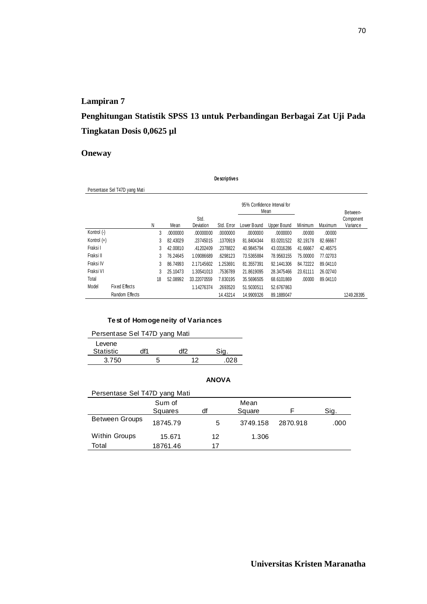**Penghitungan Statistik SPSS 13 untuk Perbandingan Berbagai Zat Uji Pada Tingkatan Dosis 0,0625 µl**

### **Oneway**

|               | De scriptive s                |    |                                     |                   |            |             |             |          |          |                       |
|---------------|-------------------------------|----|-------------------------------------|-------------------|------------|-------------|-------------|----------|----------|-----------------------|
|               | Persentase Sel T47D yang Mati |    |                                     |                   |            |             |             |          |          |                       |
|               |                               |    | 95% Confidence Interval for<br>Mean |                   |            |             |             |          | Between- |                       |
|               |                               | N  | Mean                                | Std.<br>Deviation | Std. Error | Lower Bound | Upper Bound | Minimum  | Maximum  | Component<br>Variance |
| Kontrol (-)   |                               | 3  | .0000000                            | .00000000         | .0000000   | .0000000    | .0000000    | .00000   | .00000   |                       |
| Kontrol $(+)$ |                               | 3  | 82.43029                            | .23745015         | .1370919   | 81.8404344  | 83.0201522  | 82.19178 | 82.66667 |                       |
| Fraksi I      |                               | 3  | 42.00810                            | .41202409         | .2378822   | 40.9845794  | 43.0316286  | 41.66667 | 42.46575 |                       |
| Fraksi II     |                               | 3  | 76.24645                            | 1.09086689        | .6298123   | 73.5365884  | 78.9563155  | 75.00000 | 77.02703 |                       |
| Fraksi IV     |                               | 3  | 86.74993                            | 2.17145602        | 1.253691   | 81.3557391  | 92.1441306  | 84.72222 | 89.04110 |                       |
| Fraksi VI     |                               | 3  | 25.10473                            | 1.30541013        | .7536789   | 21.8619095  | 28.3475466  | 23.61111 | 26.02740 |                       |
| Total         |                               | 18 | 52.08992                            | 33.22070559       | 7.830195   | 35.5696505  | 68.6101869  | .00000   | 89.04110 |                       |
| Model         | Fixed Effects                 |    |                                     | 1.14276374        | .2693520   | 51.5030511  | 52.6767863  |          |          |                       |
|               | Random Effects                |    |                                     |                   | 14.43214   | 14.9909326  | 89.1889047  |          |          | 1249.28395            |

#### **Test of Homogeneity of Variances**

| Persentase Sel T47D yang Mati |     |     |      |  |  |  |
|-------------------------------|-----|-----|------|--|--|--|
| Levene                        |     |     |      |  |  |  |
| <b>Statistic</b>              | df1 | df2 |      |  |  |  |
| 3.750                         | h   | 12  | .028 |  |  |  |

| Persentase Sel T47D yang Mati |          |    |          |          |      |
|-------------------------------|----------|----|----------|----------|------|
|                               | Sum of   |    | Mean     |          |      |
|                               | Squares  | df | Square   |          | Sig. |
| <b>Between Groups</b>         | 18745.79 | 5  | 3749.158 | 2870.918 | .000 |
| <b>Within Groups</b>          | 15.671   | 12 | 1.306    |          |      |
| Total                         | 18761.46 | 17 |          |          |      |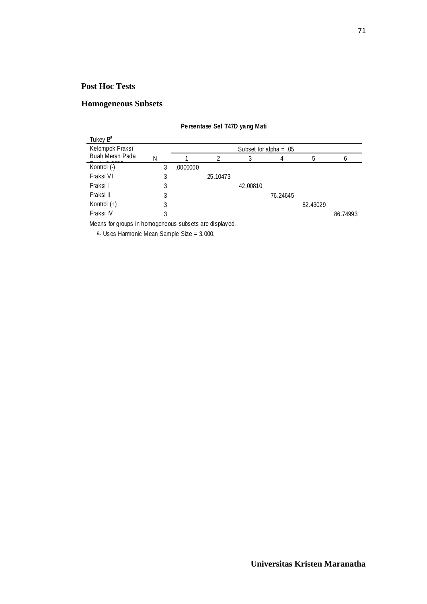## **Homogeneous Subsets**

| Tukey B <sup>a</sup> |   |          |                          |          |          |          |          |  |  |
|----------------------|---|----------|--------------------------|----------|----------|----------|----------|--|--|
| Kelompok Fraksi      |   |          | Subset for alpha = $.05$ |          |          |          |          |  |  |
| Buah Merah Pada      | N |          |                          | 3        |          |          | 6        |  |  |
| Kontrol (-)          |   | .0000000 |                          |          |          |          |          |  |  |
| Fraksi VI            | 3 |          | 25.10473                 |          |          |          |          |  |  |
| Fraksi I             | 3 |          |                          | 42,00810 |          |          |          |  |  |
| Fraksi II            | 3 |          |                          |          | 76.24645 |          |          |  |  |
| Kontrol $(+)$        | 3 |          |                          |          |          | 82.43029 |          |  |  |
| Fraksi IV            |   |          |                          |          |          |          | 86.74993 |  |  |

#### **Persentase Sel T47D yang Mati**

Means for groups in homogeneous subsets are displayed.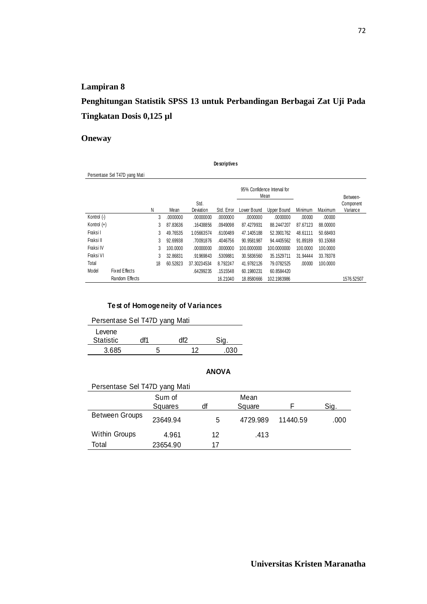# **Penghitungan Statistik SPSS 13 untuk Perbandingan Berbagai Zat Uji Pada Tingkatan Dosis 0,125 µl**

### **Oneway**

|               | De scriptive s                |    |                                     |                   |            |             |             |          |          |                       |  |
|---------------|-------------------------------|----|-------------------------------------|-------------------|------------|-------------|-------------|----------|----------|-----------------------|--|
|               | Persentase Sel T47D yang Mati |    |                                     |                   |            |             |             |          |          |                       |  |
|               |                               |    | 95% Confidence Interval for<br>Mean |                   |            |             |             | Between- |          |                       |  |
|               |                               | Ν  | Mean                                | Std.<br>Deviation | Std. Error | Lower Bound | Upper Bound | Minimum  | Maximum  | Component<br>Variance |  |
| Kontrol (-)   |                               | 3  | .0000000                            | .00000000         | .0000000   | .0000000    | .0000000    | .00000   | .00000   |                       |  |
| Kontrol $(+)$ |                               | 3  | 87.83636                            | .16438856         | .0949098   | 87.4279931  | 88.2447207  | 87.67123 | 88,00000 |                       |  |
| Fraksi I      |                               | 3  | 49.76535                            | 1.05663574        | .6100489   | 47.1405188  | 52.3901762  | 48.61111 | 50.68493 |                       |  |
| Fraksi II     |                               | 3  | 92.69938                            | .70091876         | .4046756   | 90.9581987  | 94.4405562  | 91.89189 | 93.15068 |                       |  |
| Fraksi IV     |                               | 3  | 100.0000                            | .00000000         | .0000000   | 100.0000000 | 100.0000000 | 100.0000 | 100.0000 |                       |  |
| Fraksi VI     |                               | 3  | 32.86831                            | .91969843         | .5309881   | 30.5836560  | 35.1529711  | 31.94444 | 33.78378 |                       |  |
| Total         |                               | 18 | 60.52823                            | 37.30234534       | 8.792247   | 41.9782126  | 79.0782525  | .00000   | 100.0000 |                       |  |
| Model         | Fixed Effects                 |    |                                     | .64299235         | .1515548   | 60.1980231  | 60.8584420  |          |          |                       |  |
|               | Random Effects                |    |                                     |                   | 16.21040   | 18.8580666  | 102.1983986 |          |          | 1576.52507            |  |

### **Test of Homogeneity of Variances**

Persentase Sel T47D yang Mati

| Levene           |     |    |     |
|------------------|-----|----|-----|
| <b>Statistic</b> | df1 | かわ |     |
| 3.685            | 5   | ィつ | 030 |

| Persentase Sel T47D yang Mati |          |    |          |          |      |
|-------------------------------|----------|----|----------|----------|------|
|                               | Sum of   |    | Mean     |          |      |
|                               | Squares  | df | Square   |          | Sig. |
| <b>Between Groups</b>         | 23649.94 | 5  | 4729.989 | 11440.59 | .000 |
| <b>Within Groups</b>          | 4.961    | 12 | .413     |          |      |
| Total                         | 23654.90 | 17 |          |          |      |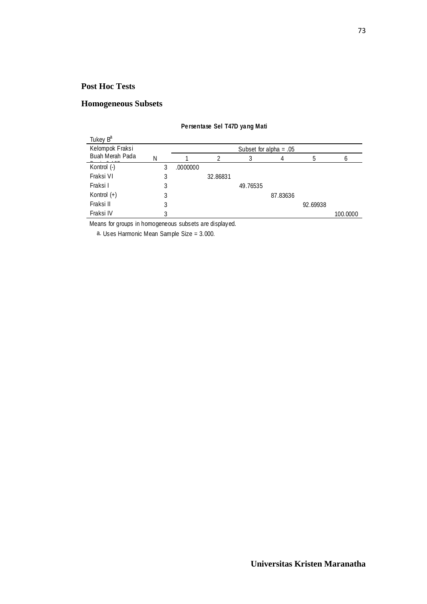## **Homogeneous Subsets**

| Tukey B <sup>a</sup> |   |          |          |                          |          |          |          |
|----------------------|---|----------|----------|--------------------------|----------|----------|----------|
| Kelompok Fraksi      |   |          |          | Subset for alpha = $.05$ |          |          |          |
| Buah Merah Pada      | N |          |          | 3                        | 4        |          | 6        |
| Kontrol (-)          | 3 | .0000000 |          |                          |          |          |          |
| Fraksi VI            | 3 |          | 32.86831 |                          |          |          |          |
| Fraksi I             | 3 |          |          | 49.76535                 |          |          |          |
| Kontrol $(+)$        | 3 |          |          |                          | 87.83636 |          |          |
| Fraksi II            | 3 |          |          |                          |          | 92.69938 |          |
| Fraksi IV            |   |          |          |                          |          |          | 100.0000 |

#### **Persentase Sel T47D yang Mati**

Means for groups in homogeneous subsets are displayed.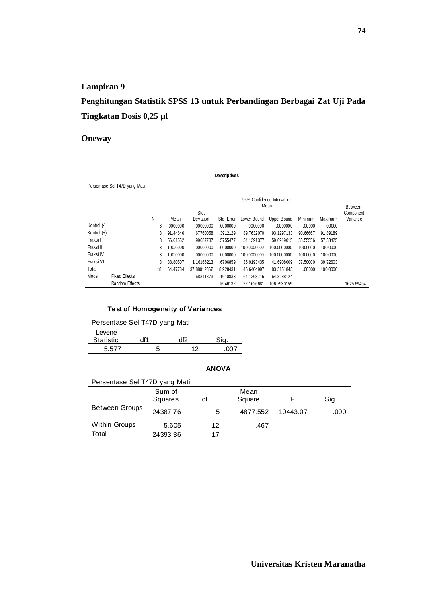## **Penghitungan Statistik SPSS 13 untuk Perbandingan Berbagai Zat Uji Pada Tingkatan Dosis 0,25 µl**

#### **Oneway**

Persentase Sel T47D yang Mati 3 .0000000 .00000000 .0000000 .0000000 .0000000 .00000 .00000 3 91.44646 .67760058 .3912129 89.7632070 93.1297133 90.66667 91.89189 3 56.61552 .99687787 .5755477 54.1391377 59.0919015 55.55556 57.53425 3 100.0000 .00000000 .0000000 100.0000000 100.0000000 100.0000 100.0000 3 100.0000 .00000000 .0000000 100.0000000 100.0000000 100.0000 100.0000 3 38.80507 1.16166213 .6706859 35.9193435 41.6908009 37.50000 39.72603 18 64.47784 37.88012367 8.928431 45.6404997 83.3151843 .00000 100.0000 .68341873 .1610833 64.1268716 64.8288124 16.46132 22.1626681 106.7930159 1625.69494 Kontrol (-) Kontrol (+) Fraksi I Fraksi II Fraksi IV Fraksi VI Total Fixed Effects Random Effects Model N Mean Std.<br>Deviation Deviation Std. Error Lower Bound Upper Bound Minimum Maximum 95% Confidence Interval for Mean Between-Component Variance

**Descriptives**

#### **Test of Homogeneity of Variances**

| Persentase Sel T47D yang Mati |   |    |     |  |  |  |  |
|-------------------------------|---|----|-----|--|--|--|--|
| Levene<br><b>Statistic</b>    |   |    |     |  |  |  |  |
| 5577                          | h | 12 | በበ7 |  |  |  |  |

| Persentase Sel T47D yang Mati |          |    |          |          |      |
|-------------------------------|----------|----|----------|----------|------|
|                               | Sum of   |    | Mean     |          |      |
|                               | Squares  | df | Square   |          | Sig. |
| <b>Between Groups</b>         | 24387.76 | 5  | 4877.552 | 10443.07 | .000 |
| Within Groups                 | 5.605    | 12 | .467     |          |      |
| Total                         | 24393.36 | 17 |          |          |      |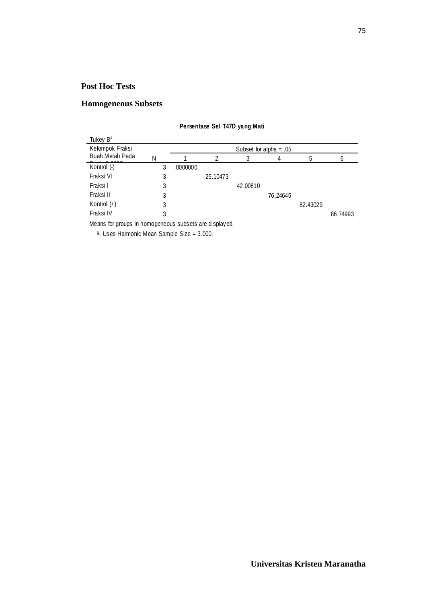## **Homogeneous Subsets**

| Tukey B <sup>a</sup> |   |          |          |          |                          |          |          |
|----------------------|---|----------|----------|----------|--------------------------|----------|----------|
| Kelompok Fraksi      |   |          |          |          | Subset for alpha = $.05$ |          |          |
| Buah Merah Pada      | N |          | 2        | 3        | 4                        | .h       | 6        |
| Kontrol (-)          |   | .0000000 |          |          |                          |          |          |
| Fraksi VI            | 3 |          | 25.10473 |          |                          |          |          |
| Fraksi I             | 3 |          |          | 42,00810 |                          |          |          |
| Fraksi II            | 3 |          |          |          | 76.24645                 |          |          |
| Kontrol (+)          | 3 |          |          |          |                          | 82.43029 |          |
| Fraksi IV            | 3 |          |          |          |                          |          | 86.74993 |

#### **Persentase Sel T47D yang Mati**

Means for groups in homogeneous subsets are displayed.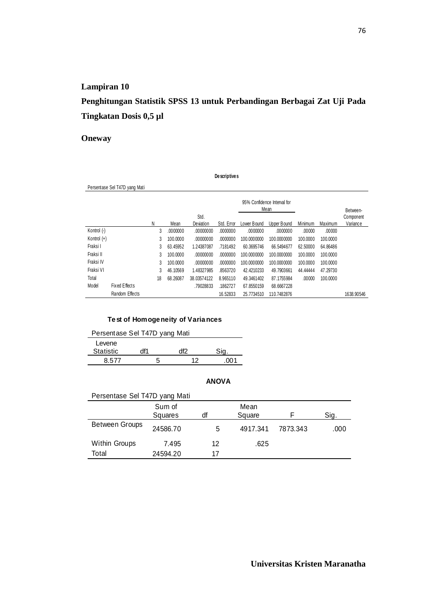# **Penghitungan Statistik SPSS 13 untuk Perbandingan Berbagai Zat Uji Pada Tingkatan Dosis 0,5 µl**

### **Oneway**

**Descriptives**

|               | Persentase Sel T47D yang Mati |    |          |             |            |             |                                     |          |          |            |
|---------------|-------------------------------|----|----------|-------------|------------|-------------|-------------------------------------|----------|----------|------------|
|               |                               |    |          |             |            |             | 95% Confidence Interval for<br>Mean |          |          | Between-   |
|               |                               |    |          | Std.        |            |             |                                     |          |          | Component  |
|               |                               | N  | Mean     | Deviation   | Std. Error | Lower Bound | Upper Bound                         | Minimum  | Maximum  | Variance   |
| Kontrol (-)   |                               | 3  | .0000000 | .00000000   | .0000000   | .0000000    | .0000000                            | .00000   | .00000   |            |
| Kontrol $(+)$ |                               | 3  | 100.0000 | .00000000   | .0000000   | 100.0000000 | 100.0000000                         | 100.0000 | 100.0000 |            |
| Fraksi I      |                               | 3  | 63.45952 | 1.24387087  | .7181492   | 60.3695746  | 66.5494677                          | 62.50000 | 64.86486 |            |
| Fraksi II     |                               | 3  | 100.0000 | .00000000   | .0000000   | 100.0000000 | 100.0000000                         | 100.0000 | 100.0000 |            |
| Fraksi IV     |                               | 3  | 100.0000 | .00000000   | .0000000   | 100.0000000 | 100.0000000                         | 100.0000 | 100.0000 |            |
| Fraksi VI     |                               | 3  | 46.10569 | 1.48327985  | .8563720   | 42.4210233  | 49.7903661                          | 44.44444 | 47.29730 |            |
| Total         |                               | 18 | 68.26087 | 38.03574122 | 8.965110   | 49.3461402  | 87.1755984                          | .00000   | 100.0000 |            |
| Model         | Fixed Effects                 |    |          | .79028833   | .1862727   | 67.8550159  | 68.6667228                          |          |          |            |
|               | Random Effects                |    |          |             | 16.52833   | 25.7734510  | 110.7482876                         |          |          | 1638.90546 |

#### **Test of Homogeneity of Variances**

| Persentase Sel T47D yang Mati |     |     |       |  |  |  |  |
|-------------------------------|-----|-----|-------|--|--|--|--|
| Levene                        |     |     |       |  |  |  |  |
| <b>Statistic</b>              | df1 | df2 |       |  |  |  |  |
| 8.577                         | 5   | ィク  | .NO 1 |  |  |  |  |

| Persentase Sel T47D yang Mati |          |    |          |          |      |  |  |
|-------------------------------|----------|----|----------|----------|------|--|--|
|                               | Sum of   |    | Mean     |          |      |  |  |
|                               | Squares  | df | Square   |          | Sig. |  |  |
| <b>Between Groups</b>         | 24586.70 | 5  | 4917.341 | 7873.343 | .000 |  |  |
| <b>Within Groups</b>          | 7.495    | 12 | .625     |          |      |  |  |
| Total                         | 24594.20 | 17 |          |          |      |  |  |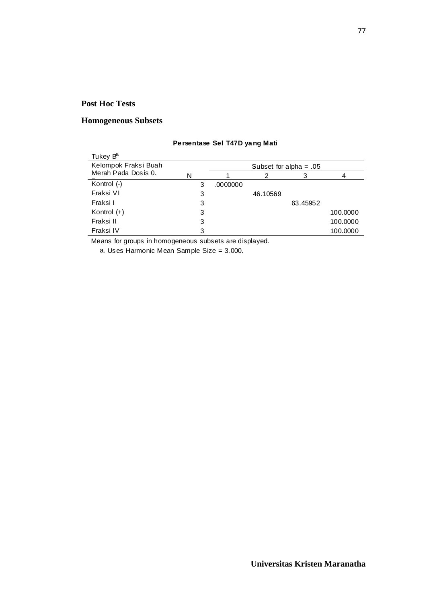#### **Homogeneous Subsets**

#### Tukey B<sup>a</sup> 3 .0000000 3 46.10569 3 63.45952 3 100.0000 3 100.0000 3 100.0000 Kelompok Fraksi Buah Merah Pada Dosis 0. Kontrol (-) Fraksi VI Fraksi I Kontrol (+) Fraksi II Fraksi IV N 1 2 3 4 Subset for alpha =  $.05$

#### **Persentase Sel T47D yang Mati**

Means for groups in homogeneous subsets are displayed.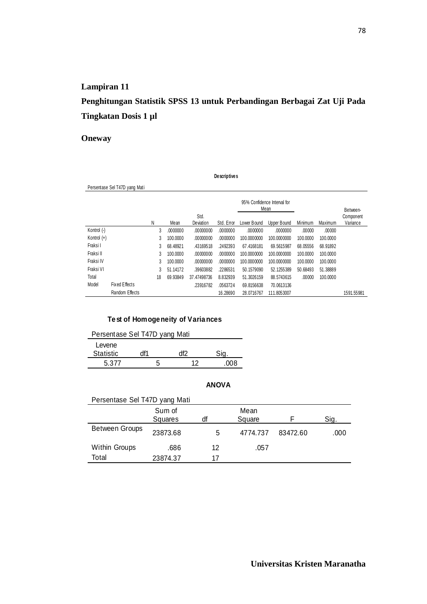# **Penghitungan Statistik SPSS 13 untuk Perbandingan Berbagai Zat Uji Pada Tingkatan Dosis 1 µl**

### **Oneway**

Persentase Sel T47D yang Mati

**Descriptives**

|               |                      |    | 95% Confidence Interval for<br>Mean |             |            |             |             |          |          | Between-   |
|---------------|----------------------|----|-------------------------------------|-------------|------------|-------------|-------------|----------|----------|------------|
|               |                      |    |                                     | Std.        |            |             |             |          |          | Component  |
|               |                      | N  | Mean                                | Deviation   | Std. Error | Lower Bound | Upper Bound | Minimum  | Maximum  | Variance   |
| Kontrol (-)   |                      | 3  | .0000000                            | .00000000   | .0000000   | .0000000    | .0000000    | .00000   | .00000   |            |
| Kontrol $(+)$ |                      | 3  | 100.0000                            | .00000000   | .0000000   | 100.0000000 | 100.0000000 | 100,0000 | 100.0000 |            |
| Fraksi I      |                      | 3  | 68.48921                            | .43169518   | .2492393   | 67.4168181  | 69.5615987  | 68.05556 | 68.91892 |            |
| Fraksi II     |                      | 3  | 100.0000                            | .00000000   | .0000000   | 100.0000000 | 100.0000000 | 100.0000 | 100.0000 |            |
| Fraksi IV     |                      | 3  | 100.0000                            | .00000000   | .0000000   | 100.0000000 | 100.0000000 | 100,0000 | 100.0000 |            |
| Fraksi VI     |                      | 3  | 51.14172                            | .39603882   | .2286531   | 50.1579090  | 52.1255389  | 50.68493 | 51.38889 |            |
| Total         |                      | 18 | 69.93849                            | 37.47498736 | 8.832939   | 51.3026159  | 88.5743615  | .00000   | 100.0000 |            |
| Model         | <b>Fixed Effects</b> |    |                                     | .23916782   | .0563724   | 69.8156638  | 70.0613136  |          |          |            |
|               | Random Effects       |    |                                     |             | 16.28690   | 28.0716767  | 111.8053007 |          |          | 1591.55981 |

#### **Test of Homogeneity of Variances**

| Persentase Sel T47D yang Mati |  |  |      |     |  |  |  |
|-------------------------------|--|--|------|-----|--|--|--|
| Levene                        |  |  |      |     |  |  |  |
| <b>Statistic</b>              |  |  | HI 2 |     |  |  |  |
| 5.377                         |  |  | ィク   | nnr |  |  |  |

| Persentase Sel T47D yang Mati |          |    |          |          |      |
|-------------------------------|----------|----|----------|----------|------|
|                               | Sum of   |    | Mean     |          |      |
|                               | Squares  | df | Square   |          | Sig. |
| <b>Between Groups</b>         | 23873.68 | 5  | 4774.737 | 83472.60 | .000 |
| <b>Within Groups</b>          | .686     | 12 | .057     |          |      |
| Total                         | 23874.37 | 17 |          |          |      |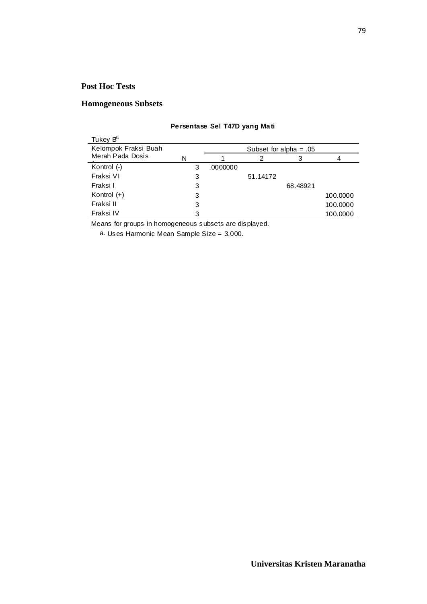#### **Homogeneous Subsets**

| Tukey B <sup>a</sup> |   |                          |          |          |          |  |  |  |
|----------------------|---|--------------------------|----------|----------|----------|--|--|--|
| Kelompok Fraksi Buah |   | Subset for alpha = $.05$ |          |          |          |  |  |  |
| Merah Pada Dosis     | N |                          |          | 3        |          |  |  |  |
| Kontrol $(-)$        | 3 | .0000000                 |          |          |          |  |  |  |
| Fraksi VI            | 3 |                          | 51.14172 |          |          |  |  |  |
| Fraksi I             | 3 |                          |          | 68.48921 |          |  |  |  |
| Kontrol $(+)$        | 3 |                          |          |          | 100.0000 |  |  |  |
| Fraksi II            | 3 |                          |          |          | 100.0000 |  |  |  |
| Fraksi IV            | 3 |                          |          |          | 100.0000 |  |  |  |

#### **Persentase Sel T47D yang Mati**

Means for groups in homogeneous subsets are displayed.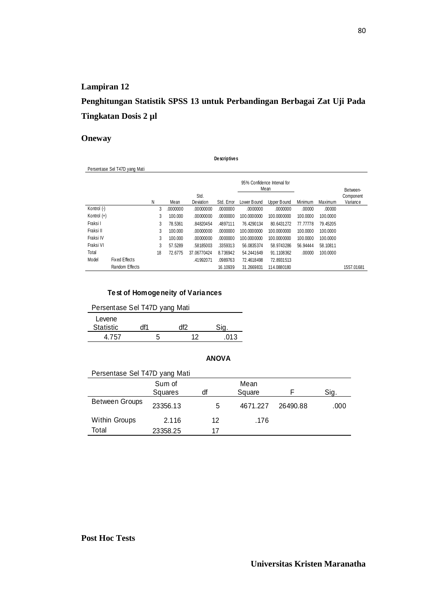## **Penghitungan Statistik SPSS 13 untuk Perbandingan Berbagai Zat Uji Pada Tingkatan Dosis 2 µl**

#### **Oneway**

|             | Persentase Sel T47D yang Mati |    |          |             |            |             |                                     |          |          |            |
|-------------|-------------------------------|----|----------|-------------|------------|-------------|-------------------------------------|----------|----------|------------|
|             |                               |    |          |             |            |             | 95% Confidence Interval for<br>Mean |          |          | Between-   |
|             |                               |    |          | Std.        |            |             |                                     |          |          | Component  |
|             |                               | Ν  | Mean     | Deviation   | Std. Error | Lower Bound | Upper Bound                         | Minimum  | Maximum  | Variance   |
| Kontrol (-) |                               | 3  | .0000000 | .00000000   | .0000000   | .0000000    | .0000000                            | .00000   | .00000   |            |
| Kontrol (+) |                               | 3  | 100.000  | .00000000   | .0000000   | 100.0000000 | 100.0000000                         | 100.0000 | 100.0000 |            |
| Fraksi I    |                               | 3  | 78.5361  | .84820454   | .4897111   | 76.4290134  | 80.6431272                          | 77.77778 | 79.45205 |            |
| Fraksi II   |                               | 3  | 100.000  | .00000000   | .0000000   | 100.0000000 | 100.0000000                         | 100.0000 | 100.0000 |            |
| Fraksi IV   |                               | 3  | 100.000  | .00000000   | .0000000   | 100.0000000 | 100.0000000                         | 100.0000 | 100.0000 |            |
| Fraksi VI   |                               | 3  | 57.5289  | .58185003   | .3359313   | 56.0835374  | 58.9743286                          | 56.94444 | 58.10811 |            |
| Total       |                               | 18 | 72.6775  | 37.06770424 | 8.736942   | 54.2441649  | 91.1108362                          | .00000   | 100.0000 |            |
| Model       | Fixed Effects                 |    |          | .41992071   | .0989763   | 72.4618498  | 72.8931513                          |          |          |            |
|             | Random Effects                |    |          |             | 16.10939   | 31.2669831  | 114.0880180                         |          |          | 1557.01681 |

**Descriptives**

#### **Test of Homogeneity of Variances**

| Persentase Sel T47D yang Mati |     |    |      |  |  |  |
|-------------------------------|-----|----|------|--|--|--|
| Levene<br><b>Statistic</b>    | df1 |    |      |  |  |  |
| 4 757                         | h   | 12 | 01.3 |  |  |  |

| Persentase Sel T47D yang Mati |          |    |          |          |      |
|-------------------------------|----------|----|----------|----------|------|
|                               | Sum of   |    | Mean     |          |      |
|                               | Squares  | df | Square   |          | Sig. |
| <b>Between Groups</b>         | 23356.13 | 5  | 4671.227 | 26490.88 | .000 |
| <b>Within Groups</b>          | 2.116    | 12 | .176     |          |      |
| Total                         | 23358.25 | 17 |          |          |      |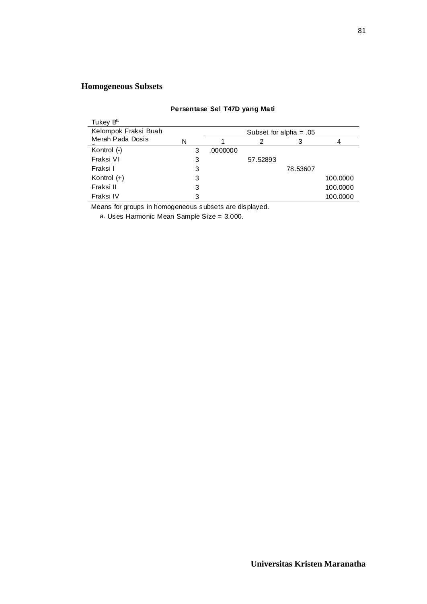## **Homogeneous Subsets**

| Tukey B <sup>a</sup> |   |          |                          |          |          |  |  |  |
|----------------------|---|----------|--------------------------|----------|----------|--|--|--|
| Kelompok Fraksi Buah |   |          | Subset for alpha = $.05$ |          |          |  |  |  |
| Merah Pada Dosis     | N |          | 2                        |          |          |  |  |  |
| Kontrol (-)          | 3 | .0000000 |                          |          |          |  |  |  |
| Fraksi VI            | 3 |          | 57.52893                 |          |          |  |  |  |
| Fraksi I             | 3 |          |                          | 78.53607 |          |  |  |  |
| Kontrol $(+)$        | 3 |          |                          |          | 100.0000 |  |  |  |
| Fraksi II            | 3 |          |                          |          | 100.0000 |  |  |  |
| Fraksi IV            | 3 |          |                          |          | 100.0000 |  |  |  |

#### **Persentase Sel T47D yang Mati**

Means for groups in homogeneous subsets are displayed.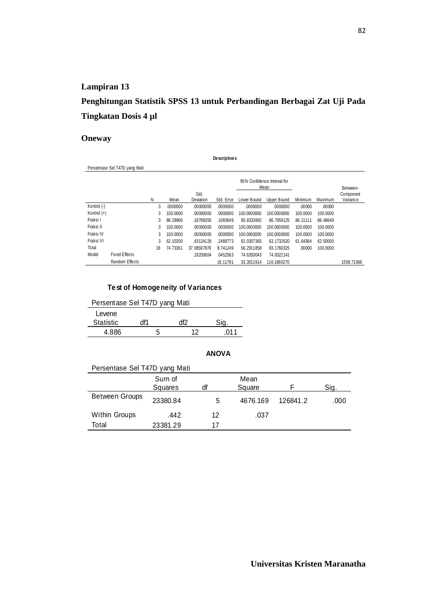## **Penghitungan Statistik SPSS 13 untuk Perbandingan Berbagai Zat Uji Pada Tingkatan Dosis 4 µl**

**Descriptives**

### **Oneway**

|               | Persentase Sel T47D yang Mati |    |          |             |            |                                     |             |          |          |            |
|---------------|-------------------------------|----|----------|-------------|------------|-------------------------------------|-------------|----------|----------|------------|
|               |                               |    |          |             |            | 95% Confidence Interval for<br>Mean |             |          |          | Between-   |
|               |                               | N  |          | Std.        |            |                                     |             |          |          | Component  |
|               |                               |    | Mean     | Deviation   | Std. Error | Lower Bound                         | Upper Bound | Minimum  | Maximum  | Variance   |
| Kontrol (-)   |                               | 3  | .0000000 | .00000000   | .0000000   | .0000000                            | .0000000    | .00000   | .00000   |            |
| Kontrol $(+)$ |                               | 3  | 100.0000 | .00000000   | .0000000   | 100.0000000                         | 100.0000000 | 100.0000 | 100.0000 |            |
| Fraksi I      |                               | 3  | 86.29966 | .18769356   | .1083649   | 85.8333992                          | 86.7659125  | 86.11111 | 86.48649 |            |
| Fraksi II     |                               | 3  | 100.0000 | .00000000   | .0000000   | 100.0000000                         | 100.0000000 | 100.0000 | 100.0000 |            |
| Fraksi IV     |                               | 3  | 100.0000 | .00000000   | .0000000   | 100.0000000                         | 100.0000000 | 100.0000 | 100.0000 |            |
| Fraksi VI     |                               | 3  | 62.10200 | .43124128   | .2489773   | 61.0307365                          | 63.1732620  | 61.64384 | 62.50000 |            |
| Total         |                               | 18 | 74.73361 | 37.08597878 | 8.741249   | 56.2911858                          | 93.1760325  | .00000   | 100.0000 |            |
| Model         | Fixed Effects                 |    |          | .19200604   | .0452563   | 74.6350043                          | 74.8322141  |          |          |            |
|               | Random Effects                |    |          |             | 16.11791   | 33.3011914                          | 116.1660270 |          |          | 1558.71068 |

#### **Test of Homogeneity of Variances**

| Persentase Sel T47D yang Mati |     |     |     |  |  |  |
|-------------------------------|-----|-----|-----|--|--|--|
| Levene                        |     |     |     |  |  |  |
| <b>Statistic</b>              | df1 | df2 |     |  |  |  |
| 4 886                         | 5   | 12  | 011 |  |  |  |

| Persentase Sel T47D yang Mati |          |    |          |          |      |  |  |
|-------------------------------|----------|----|----------|----------|------|--|--|
|                               | Sum of   |    | Mean     |          |      |  |  |
|                               | Squares  | df | Square   |          | Sig. |  |  |
| <b>Between Groups</b>         | 23380.84 | 5  | 4676.169 | 126841.2 | .000 |  |  |
| Within Groups                 | .442     | 12 | .037     |          |      |  |  |
| Total                         | 23381.29 | 17 |          |          |      |  |  |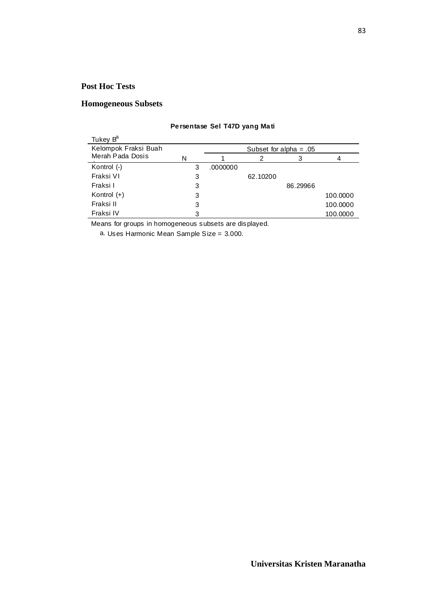#### **Homogeneous Subsets**

| Tukey B <sup>a</sup> |   |                          |          |          |          |  |
|----------------------|---|--------------------------|----------|----------|----------|--|
| Kelompok Fraksi Buah |   | Subset for alpha = $.05$ |          |          |          |  |
| Merah Pada Dosis     | N |                          |          | 3        |          |  |
| Kontrol $(-)$        | 3 | .0000000                 |          |          |          |  |
| Fraksi VI            | 3 |                          | 62.10200 |          |          |  |
| Fraksi I             | 3 |                          |          | 86.29966 |          |  |
| Kontrol $(+)$        | 3 |                          |          |          | 100.0000 |  |
| Fraksi II            | 3 |                          |          |          | 100.0000 |  |
| Fraksi IV            | 3 |                          |          |          | 100.0000 |  |

#### **Persentase Sel T47D yang Mati**

Means for groups in homogeneous subsets are displayed.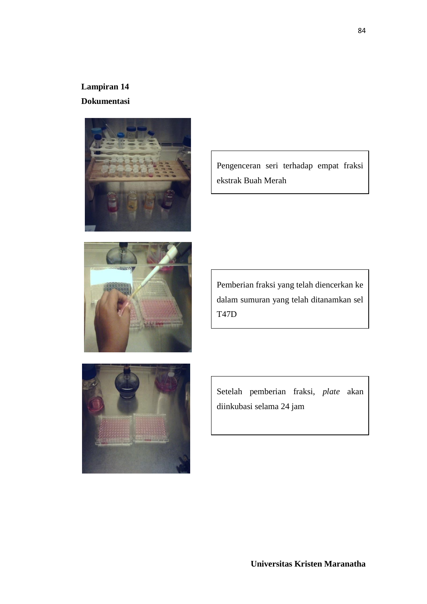## **Lampiran 14 Dokumentasi**





Pengenceran seri terhadap empat fraksi ekstrak Buah Merah

Pemberian fraksi yang telah diencerkan ke dalam sumuran yang telah ditanamkan sel T47D



Setelah pemberian fraksi, *plate* akan diinkubasi selama 24 jam